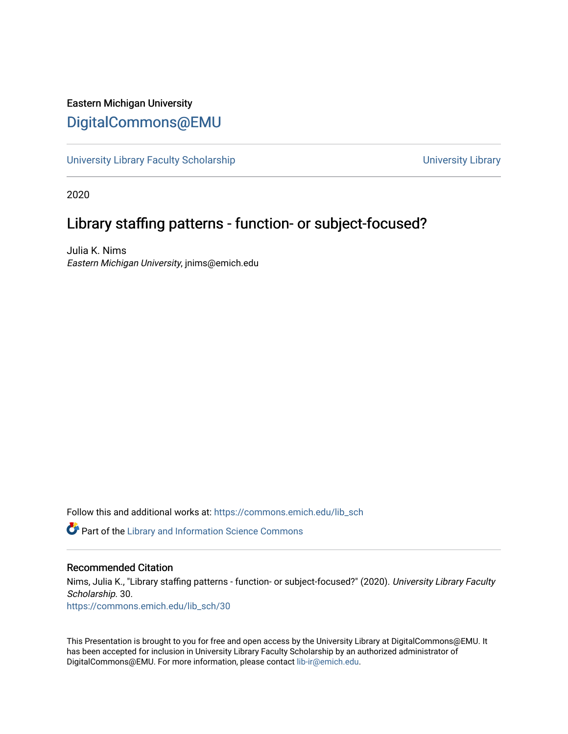#### Eastern Michigan University [DigitalCommons@EMU](https://commons.emich.edu/)

[University Library Faculty Scholarship](https://commons.emich.edu/lib_sch) **With Contract Contract Contract Contract** University Library

2020

#### Library staffing patterns - function- or subject-focused?

Julia K. Nims Eastern Michigan University, jnims@emich.edu

Follow this and additional works at: [https://commons.emich.edu/lib\\_sch](https://commons.emich.edu/lib_sch?utm_source=commons.emich.edu%2Flib_sch%2F30&utm_medium=PDF&utm_campaign=PDFCoverPages) 

Part of the [Library and Information Science Commons](http://network.bepress.com/hgg/discipline/1018?utm_source=commons.emich.edu%2Flib_sch%2F30&utm_medium=PDF&utm_campaign=PDFCoverPages) 

#### Recommended Citation

Nims, Julia K., "Library staffing patterns - function- or subject-focused?" (2020). University Library Faculty Scholarship. 30. [https://commons.emich.edu/lib\\_sch/30](https://commons.emich.edu/lib_sch/30?utm_source=commons.emich.edu%2Flib_sch%2F30&utm_medium=PDF&utm_campaign=PDFCoverPages) 

This Presentation is brought to you for free and open access by the University Library at DigitalCommons@EMU. It has been accepted for inclusion in University Library Faculty Scholarship by an authorized administrator of DigitalCommons@EMU. For more information, please contact [lib-ir@emich.edu](mailto:lib-ir@emich.edu).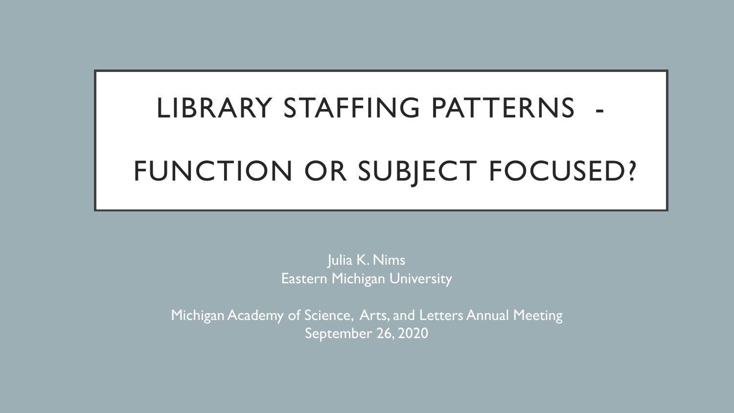# LIBRARY STAFFING PATTERNS -

## FUNCTION OR SUBJECT FOCUSED?

Julia K. Nims Eastern Michigan University

Michigan Academy of Science, Arts, and Letters Annual Meeting September 26, 2020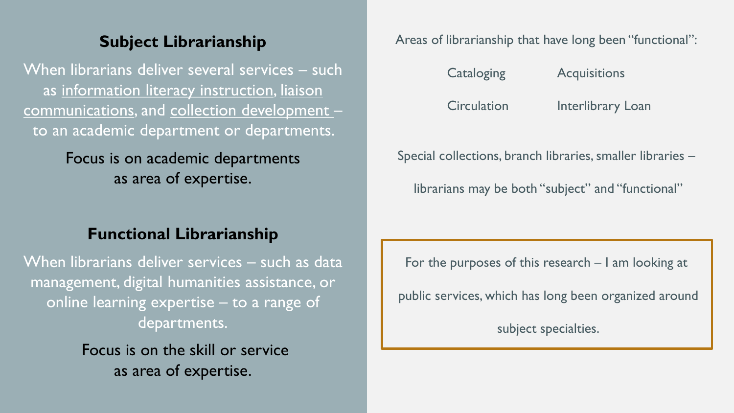#### **Subject Librarianship**

When librarians deliver several services – such as information literacy instruction, liaison communications, and collection development – to an academic department or departments.

### Focus is on academic departments as area of expertise.

#### **Functional Librarianship**

When librarians deliver services – such as data management, digital humanities assistance, or online learning expertise – to a range of departments.

> Focus is on the skill or service as area of expertise.

Areas of librarianship that have long been "functional":

| Cataloging         | <b>Acquisitions</b>      |
|--------------------|--------------------------|
| <b>Circulation</b> | <b>Interlibrary Loan</b> |

Special collections, branch libraries, smaller libraries –

librarians may be both "subject" and "functional"

For the purposes of this research – I am looking at

public services, which has long been organized around

subject specialties.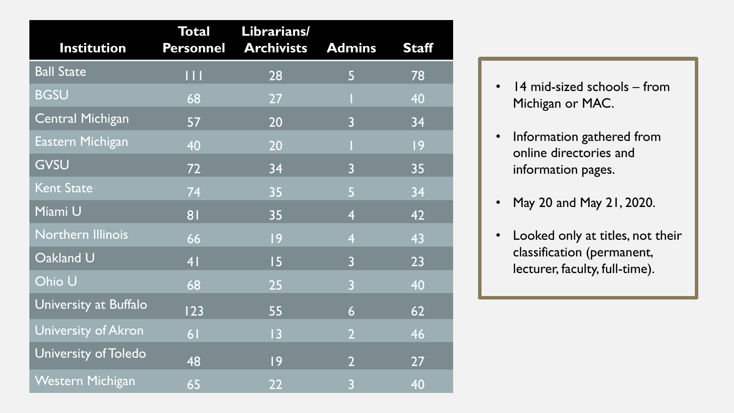| <b>Institution</b>       | <b>Total</b><br><b>Personnel</b> | Librarians/<br><b>Archivists</b> | <b>Admins</b>  | <b>Staff</b> |
|--------------------------|----------------------------------|----------------------------------|----------------|--------------|
| <b>Ball State</b>        | Ш                                | 28                               | 5              | 78           |
| <b>BGSU</b>              | 68                               | 27                               |                | 40           |
| <b>Central Michigan</b>  | 57                               | 20                               | $\overline{3}$ | 34           |
| Eastern Michigan         | 40                               | 20                               |                | 9            |
| GVSU                     | 72                               | 34                               | $\overline{3}$ | 35           |
| <b>Kent State</b>        | 74                               | 35                               | 5              | 34           |
| Miami U                  | 81                               | 35                               | 4              | 42           |
| <b>Northern Illinois</b> | 66                               | 9                                | 4              | 43           |
| Oakland U                | 4 <sup>1</sup>                   | 15                               | $\overline{3}$ | 23           |
| Ohio U                   | 68                               | 25                               | $\overline{3}$ | 40           |
| University at Buffalo    | 123                              | 55                               | 6              | 62           |
| University of Akron      | 6 <sub>1</sub>                   | 13                               | $\overline{2}$ | 46           |
| University of Toledo     | 48                               | 9                                | $\overline{2}$ | 27           |
| Western Michigan         | 65                               | 22                               | $\overline{3}$ | 40           |

- 14 mid-sized schools from Michigan or MAC.
- Information gathered from online directories and information pages.
- May 20 and May 21, 2020.
- Looked only at titles, not their classification (permanent, lecturer, faculty, full-time).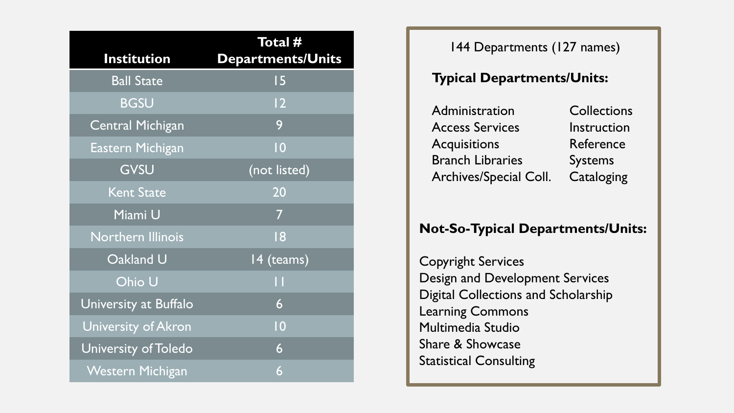| <b>Institution</b>       | Total #<br>Departments/Units |
|--------------------------|------------------------------|
| <b>Ball State</b>        | 15                           |
| <b>BGSU</b>              | 12                           |
| <b>Central Michigan</b>  | 9                            |
| Eastern Michigan         | $\overline{10}$              |
| GVSU                     | (not listed)                 |
| <b>Kent State</b>        | 20                           |
| Miami U                  | 7                            |
| <b>Northern Illinois</b> | 18                           |
| Oakland U                | 14 (teams)                   |
| Ohio U                   | П                            |
| University at Buffalo    | 6                            |
| University of Akron      | $\overline{10}$              |
| University of Toledo     | 6                            |
| <b>Western Michigan</b>  | 6                            |

144 Departments (127 names)

#### **Typical Departments/Units:**

| Administration          | <b>Collections</b> |
|-------------------------|--------------------|
| <b>Access Services</b>  | Instruction        |
| <b>Acquisitions</b>     | Reference          |
| <b>Branch Libraries</b> | <b>Systems</b>     |
| Archives/Special Coll.  | Cataloging         |

#### **Not-So-Typical Departments/Units:**

Copyright Services Design and Development Services Digital Collections and Scholarship Learning Commons Multimedia Studio Share & Showcase Statistical Consulting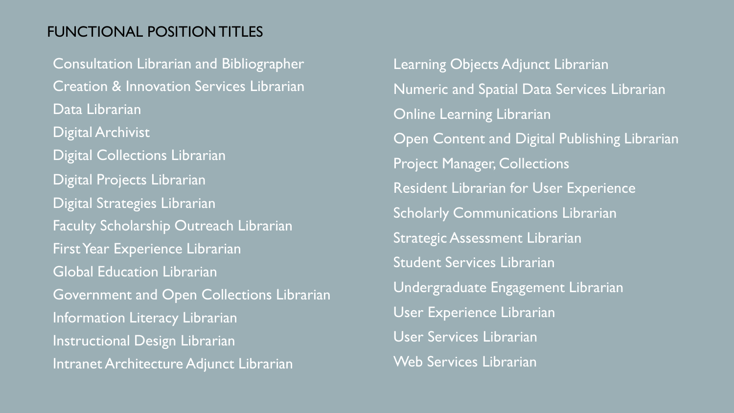#### FUNCTIONAL POSITION TITLES

Consultation Librarian and Bibliographer Creation & Innovation Services Librarian Data Librarian Digital Archivist Digital Collections Librarian Digital Projects Librarian Digital Strategies Librarian Faculty Scholarship Outreach Librarian First Year Experience Librarian Global Education Librarian Government and Open Collections Librarian Information Literacy Librarian Instructional Design Librarian Intranet Architecture Adjunct Librarian

Learning Objects Adjunct Librarian Numeric and Spatial Data Services Librarian Online Learning Librarian Open Content and Digital Publishing Librarian Project Manager, Collections Resident Librarian for User Experience Scholarly Communications Librarian Strategic Assessment Librarian Student Services Librarian Undergraduate Engagement Librarian User Experience Librarian User Services Librarian Web Services Librarian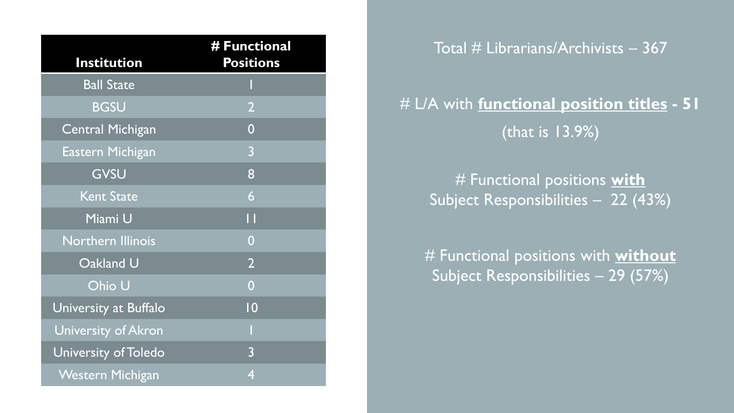| <b>Institution</b>       | # Functional<br><b>Positions</b> |
|--------------------------|----------------------------------|
| <b>Ball State</b>        |                                  |
| <b>BGSU</b>              | $\overline{2}$                   |
| <b>Central Michigan</b>  | $\overline{0}$                   |
| Eastern Michigan         | 3                                |
| GVSU                     | 8                                |
| <b>Kent State</b>        | 6                                |
| Miami U                  | П                                |
| <b>Northern Illinois</b> | $\overline{0}$                   |
| Oakland U                | $\overline{2}$                   |
| Ohio U                   | $\overline{0}$                   |
| University at Buffalo    | 10                               |
| University of Akron      |                                  |
| University of Toledo     | $\overline{3}$                   |
| <b>Western Michigan</b>  | $\overline{4}$                   |

Total  $#$  Librarians/Archivists  $-367$ 

### # L/A with **functional position titles - 51** (that is 13.9%)

# Functional positions **with**  Subject Responsibilities – 22 (43%)

# Functional positions with **without** Subject Responsibilities - 29 (57%)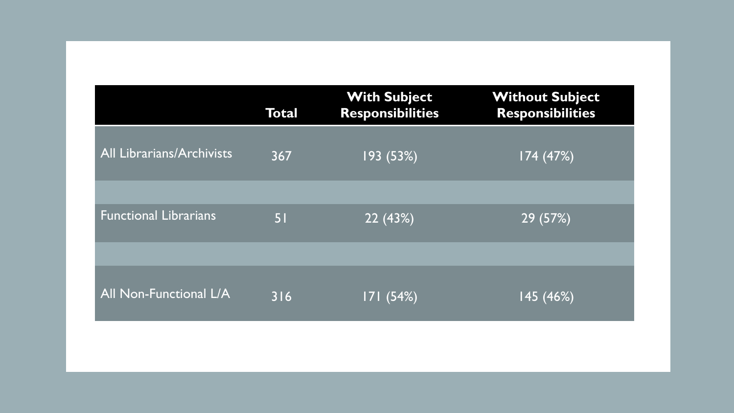|                                  | Total | <b>With Subject</b><br><b>Responsibilities</b> | <b>Without Subject</b><br><b>Responsibilities</b> |
|----------------------------------|-------|------------------------------------------------|---------------------------------------------------|
| <b>All Librarians/Archivists</b> | 367   | 193 (53%)                                      | 174 (47%)                                         |
|                                  |       |                                                |                                                   |
| <b>Functional Librarians</b>     | 51    | 22 (43%)                                       | 29 (57%)                                          |
|                                  |       |                                                |                                                   |
| <b>All Non-Functional L/A</b>    | 316   | 171(54%)                                       | 145 (46%)                                         |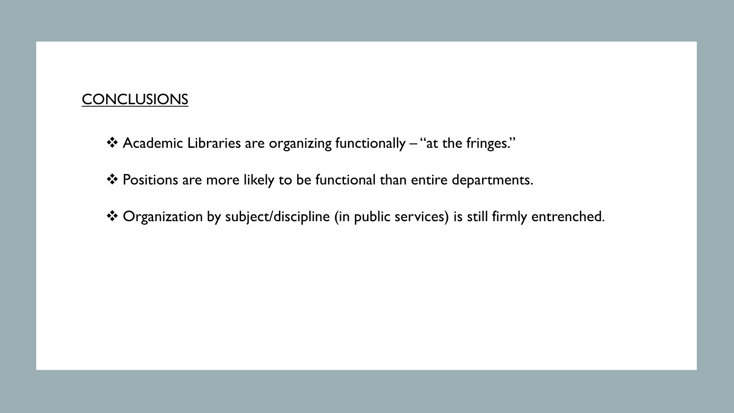#### **CONCLUSIONS**

- Academic Libraries are organizing functionally "at the fringes."
- ❖ Positions are more likely to be functional than entire departments.
- Organization by subject/discipline (in public services) is still firmly entrenched.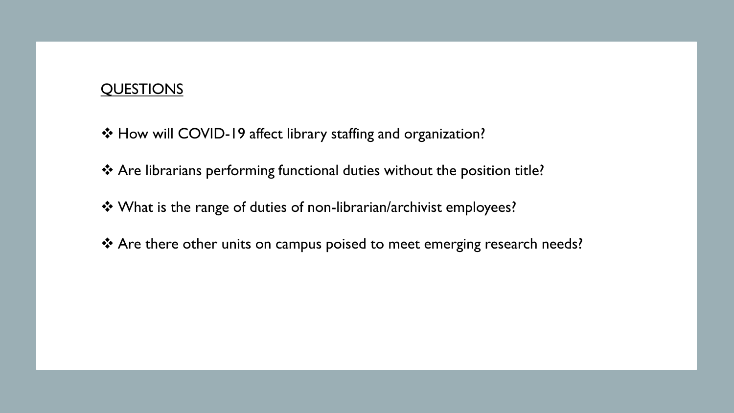#### QUESTIONS

- How will COVID-19 affect library staffing and organization?
- Are librarians performing functional duties without the position title?
- What is the range of duties of non-librarian/archivist employees?
- ◆ Are there other units on campus poised to meet emerging research needs?